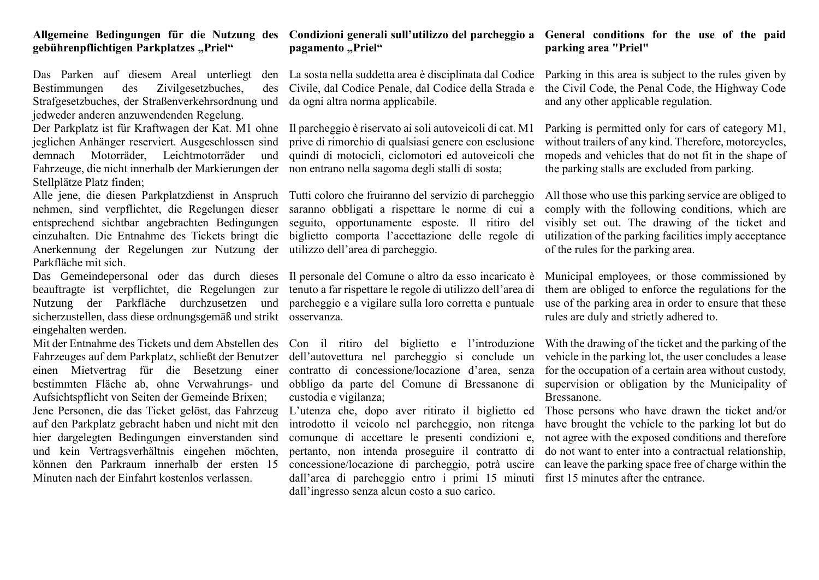## **gebührenpflichtigen Parkplatzes "Priel"**

Das Parken auf diesem Areal unterliegt Bestimmungen des Zivilgesetzbuches, Strafgesetzbuches, der Straßenverkehrsordnung und da ogni altra norma applicabile. jedweder anderen anzuwendenden Regelung.

Der Parkplatz ist für Kraftwagen der Kat. M1 ohne Il parcheggio è riservato ai soli autoveicoli di cat. M1 jeglichen Anhänger reserviert. Ausgeschlossen sind demnach Motorräder, Leichtmotorräder Fahrzeuge, die nicht innerhalb der Markierungen der non entrano nella sagoma degli stalli di sosta; Stellplätze Platz finden;

Alle jene, die diesen Parkplatzdienst in Anspruch Tutti coloro che fruiranno del servizio di parcheggio nehmen, sind verpflichtet, die Regelungen dieser saranno obbligati a rispettare le norme di cui a entsprechend sichtbar angebrachten Bedingungen seguito, opportunamente esposte. Il ritiro del einzuhalten. Die Entnahme des Tickets bringt die biglietto comporta l'accettazione delle regole di Anerkennung der Regelungen zur Nutzung der utilizzo dell'area di parcheggio. Parkfläche mit sich.

Das Gemeindepersonal oder das durch dieses Il personale del Comune o altro da esso incaricato è beauftragte ist verpflichtet, die Regelungen zur Nutzung der Parkfläche durchzusetzen und parcheggio e a vigilare sulla loro corretta e puntuale sicherzustellen, dass diese ordnungsgemäß und strikt osservanza. eingehalten werden.

Mit der Entnahme des Tickets und dem Abstellen des Fahrzeuges auf dem Parkplatz, schließt der Benutzer einen Mietvertrag für die Besetzung einer bestimmten Fläche ab, ohne Verwahrungs- und Aufsichtspflicht von Seiten der Gemeinde Brixen; Jene Personen, die das Ticket gelöst, das Fahrzeug auf den Parkplatz gebracht haben und nicht mit den hier dargelegten Bedingungen einverstanden sind und kein Vertragsverhältnis eingehen möchten, können den Parkraum innerhalb der ersten 15 Minuten nach der Einfahrt kostenlos verlassen.

## **Allgemeine Bedingungen für die Nutzung des Condizioni generali sull'utilizzo del parcheggio a pagamento "Priel"**

La sosta nella suddetta area è disciplinata dal Codice Parking in this area is subject to the rules given by Civile, dal Codice Penale, dal Codice della Strada e

prive di rimorchio di qualsiasi genere con esclusione und quindi di motocicli, ciclomotori ed autoveicoli che

tenuto a far rispettare le regole di utilizzo dell'area di

dell'autovettura nel parcheggio si conclude un contratto di concessione/locazione d'area, senza custodia e vigilanza;

introdotto il veicolo nel parcheggio, non ritenga comunque di accettare le presenti condizioni e, not agree with the exposed conditions and therefore pertanto, non intenda proseguire il contratto di do not want to enter into a contractual relationship, concessione/locazione di parcheggio, potrà uscire can leave the parking space free of charge within the dall'area di parcheggio entro i primi 15 minuti first 15 minutes after the entrance.dall'ingresso senza alcun costo a suo carico.

## **General conditions for the use of the paid parking area "Priel"**

the Civil Code, the Penal Code, the Highway Code and any other applicable regulation.

Parking is permitted only for cars of category M1, without trailers of any kind. Therefore, motorcycles, mopeds and vehicles that do not fit in the shape of the parking stalls are excluded from parking.

All those who use this parking service are obliged to comply with the following conditions, which are visibly set out. The drawing of the ticket and utilization of the parking facilities imply acceptance of the rules for the parking area.

Municipal employees, or those commissioned by them are obliged to enforce the regulations for the use of the parking area in order to ensure that these rules are duly and strictly adhered to.

Con il ritiro del biglietto e l'introduzione With the drawing of the ticket and the parking of the obbligo da parte del Comune di Bressanone di supervision or obligation by the Municipality of vehicle in the parking lot, the user concludes a lease for the occupation of a certain area without custody, Bressanone.

L'utenza che, dopo aver ritirato il biglietto ed Those persons who have drawn the ticket and/or have brought the vehicle to the parking lot but do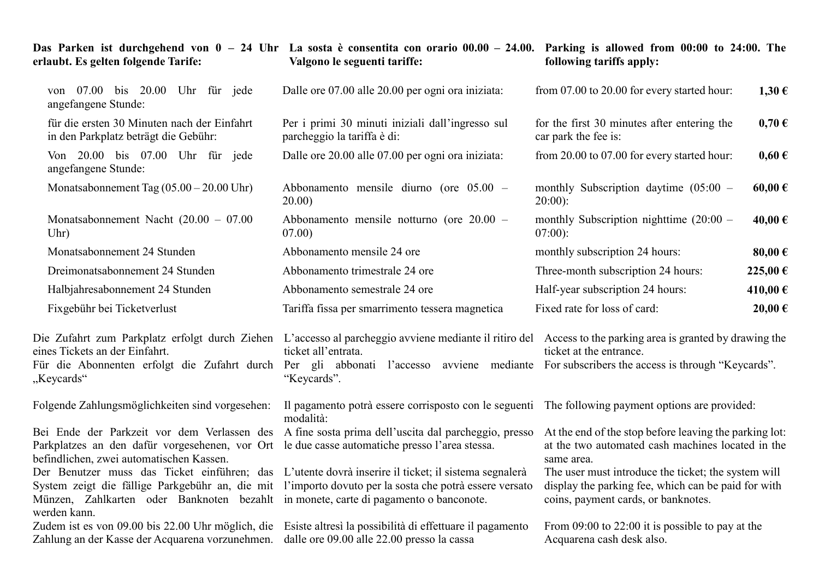| erlaubt. Es gelten folgende Tarife:                                                                                                                                                                                                               | Valgono le seguenti tariffe:                                                                                                                                                                                                                                                                                       | Das Parken ist durchgehend von $0 - 24$ Uhr La sosta è consentita con orario $00.00 - 24.00$ . Parking is allowed from $00:00$ to 24:00. The<br>following tariffs apply:                                                                                                       |
|---------------------------------------------------------------------------------------------------------------------------------------------------------------------------------------------------------------------------------------------------|--------------------------------------------------------------------------------------------------------------------------------------------------------------------------------------------------------------------------------------------------------------------------------------------------------------------|--------------------------------------------------------------------------------------------------------------------------------------------------------------------------------------------------------------------------------------------------------------------------------|
| von 07.00 bis 20.00 Uhr für jede<br>angefangene Stunde:                                                                                                                                                                                           | Dalle ore 07.00 alle 20.00 per ogni ora iniziata:                                                                                                                                                                                                                                                                  | from 07.00 to 20.00 for every started hour:<br>1,30€                                                                                                                                                                                                                           |
| für die ersten 30 Minuten nach der Einfahrt<br>in den Parkplatz beträgt die Gebühr:                                                                                                                                                               | Per i primi 30 minuti iniziali dall'ingresso sul<br>parcheggio la tariffa è di:                                                                                                                                                                                                                                    | for the first 30 minutes after entering the<br>$0,70 \in$<br>car park the fee is:                                                                                                                                                                                              |
| Von 20.00 bis 07.00 Uhr für jede<br>angefangene Stunde:                                                                                                                                                                                           | Dalle ore 20.00 alle 07.00 per ogni ora iniziata:                                                                                                                                                                                                                                                                  | from 20.00 to 07.00 for every started hour:<br>$0,60 \in$                                                                                                                                                                                                                      |
| Monatsabonnement Tag $(05.00 - 20.00 \text{ Uhr})$                                                                                                                                                                                                | Abbonamento mensile diurno (ore $05.00 -$<br>20.00)                                                                                                                                                                                                                                                                | monthly Subscription daytime $(05:00 -$<br>60,00€<br>$20:00$ :                                                                                                                                                                                                                 |
| Monatsabonnement Nacht $(20.00 - 07.00)$<br>Uhr)                                                                                                                                                                                                  | Abbonamento mensile notturno (ore $20.00 -$<br>07.00)                                                                                                                                                                                                                                                              | monthly Subscription nighttime $(20:00 -$<br>40,00€<br>$07:00$ :                                                                                                                                                                                                               |
| Monatsabonnement 24 Stunden                                                                                                                                                                                                                       | Abbonamento mensile 24 ore                                                                                                                                                                                                                                                                                         | monthly subscription 24 hours:<br>80,00€                                                                                                                                                                                                                                       |
| Dreimonatsabonnement 24 Stunden                                                                                                                                                                                                                   | Abbonamento trimestrale 24 ore                                                                                                                                                                                                                                                                                     | Three-month subscription 24 hours:<br>225,00 €                                                                                                                                                                                                                                 |
| Halbjahresabonnement 24 Stunden                                                                                                                                                                                                                   | Abbonamento semestrale 24 ore                                                                                                                                                                                                                                                                                      | 410,00€<br>Half-year subscription 24 hours:                                                                                                                                                                                                                                    |
| Fixgebühr bei Ticketverlust                                                                                                                                                                                                                       | Tariffa fissa per smarrimento tessera magnetica                                                                                                                                                                                                                                                                    | Fixed rate for loss of card:<br>20,00€                                                                                                                                                                                                                                         |
| eines Tickets an der Einfahrt.<br>"Keycards"                                                                                                                                                                                                      | ticket all'entrata.<br>Für die Abonnenten erfolgt die Zufahrt durch Per gli abbonati l'accesso avviene mediante For subscribers the access is through "Keycards".<br>"Keycards".                                                                                                                                   | Die Zufahrt zum Parkplatz erfolgt durch Ziehen L'accesso al parcheggio avviene mediante il ritiro del Access to the parking area is granted by drawing the<br>ticket at the entrance.                                                                                          |
| Folgende Zahlungsmöglichkeiten sind vorgesehen:                                                                                                                                                                                                   | Il pagamento potrà essere corrisposto con le seguenti The following payment options are provided:<br>modalità:                                                                                                                                                                                                     |                                                                                                                                                                                                                                                                                |
| Parkplatzes an den dafür vorgesehenen, vor Ort le due casse automatiche presso l'area stessa.<br>befindlichen, zwei automatischen Kassen.<br>Münzen, Zahlkarten oder Banknoten bezahlt in monete, carte di pagamento o banconote.<br>werden kann. | Bei Ende der Parkzeit vor dem Verlassen des A fine sosta prima dell'uscita dal parcheggio, presso<br>Der Benutzer muss das Ticket einführen; das L'utente dovrà inserire il ticket; il sistema segnalerà<br>System zeigt die fällige Parkgebühr an, die mit l'importo dovuto per la sosta che potrà essere versato | At the end of the stop before leaving the parking lot:<br>at the two automated cash machines located in the<br>same area.<br>The user must introduce the ticket; the system will<br>display the parking fee, which can be paid for with<br>coins, payment cards, or banknotes. |
| Zudem ist es von 09.00 bis 22.00 Uhr möglich, die<br>Zahlung an der Kasse der Acquarena vorzunehmen.                                                                                                                                              | Esiste altresì la possibilità di effettuare il pagamento<br>dalle ore 09.00 alle 22.00 presso la cassa                                                                                                                                                                                                             | From $09:00$ to $22:00$ it is possible to pay at the<br>Acquarena cash desk also.                                                                                                                                                                                              |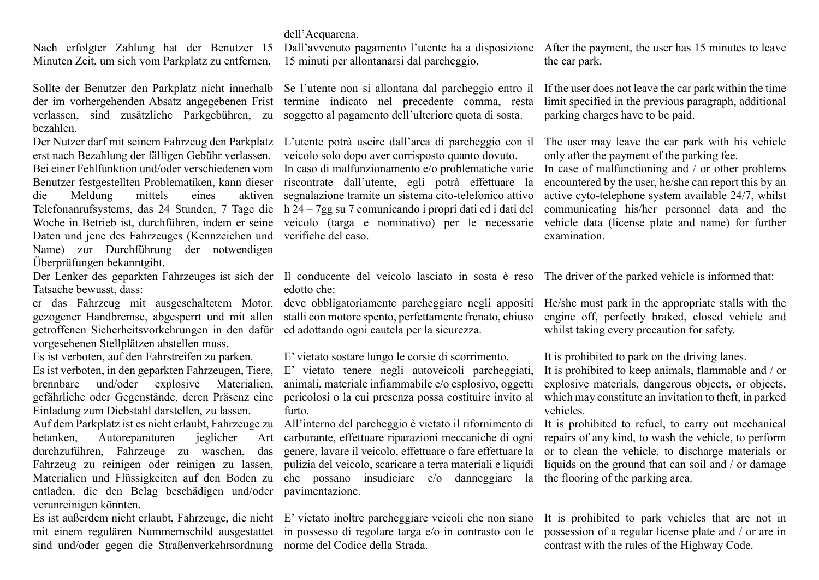## dell'Acquarena.

Nach erfolgter Zahlung hat der Benutzer 15 Minuten Zeit, um sich vom Parkplatz zu entfernen.

Sollte der Benutzer den Parkplatz nicht innerhalb der im vorhergehenden Absatz angegebenen Frist verlassen, sind zusätzliche Parkgebühren, zu soggetto al pagamento dell'ulteriore quota di sosta. bezahlen.

erst nach Bezahlung der fälligen Gebühr verlassen. die Meldung mittels eines Daten und jene des Fahrzeuges (Kennzeichen und verifiche del caso. Name) zur Durchführung der notwendigen Überprüfungen bekanntgibt.

Tatsache bewusst, dass:

getroffenen Sicherheitsvorkehrungen in den dafür ed adottando ogni cautela per la sicurezza. vorgesehenen Stellplätzen abstellen muss.

Es ist verboten, in den geparkten Fahrzeugen, Tiere, brennbare und/oder explosive Materialien, gefährliche oder Gegenstände, deren Präsenz eine Einladung zum Diebstahl darstellen, zu lassen.

betanken, Autoreparaturen jeglicher Art durchzuführen, Fahrzeuge zu waschen, das Fahrzeug zu reinigen oder reinigen zu lassen, entladen, die den Belag beschädigen und/oder pavimentazione. verunreinigen könnten.

sind und/oder gegen die Straßenverkehrsordnung norme del Codice della Strada.

Dall'avvenuto pagamento l'utente ha a disposizione After the payment, the user has 15 minutes to leave 15 minuti per allontanarsi dal parcheggio.

Se l'utente non si allontana dal parcheggio entro il termine indicato nel precedente comma, resta

Der Nutzer darf mit seinem Fahrzeug den Parkplatz L'utente potrà uscire dall'area di parcheggio con il veicolo solo dopo aver corrisposto quanto dovuto. Bei einer Fehlfunktion und/oder verschiedenen vom In caso di malfunzionamento e/o problematiche varie Benutzer festgestellten Problematiken, kann dieser riscontrate dall'utente, egli potrà effettuare la Telefonanrufsystems, das 24 Stunden, 7 Tage die h 24 – 7gg su 7 comunicando i propri dati ed i dati del Woche in Betrieb ist, durchführen, indem er seine veicolo (targa e nominativo) per le necessarie aktiven segnalazione tramite un sistema cito-telefonico attivo

Der Lenker des geparkten Fahrzeuges ist sich der Il conducente del veicolo lasciato in sosta è reso The driver of the parked vehicle is informed that: edotto che:

gezogener Handbremse, abgesperrt und mit allen stalli con motore spento, perfettamente frenato, chiuso

Es ist verboten, auf den Fahrstreifen zu parken. E' vietato sostare lungo le corsie di scorrimento. It is prohibited to park on the driving lanes.

E' vietato tenere negli autoveicoli parcheggiati, animali, materiale infiammabile e/o esplosivo, oggetti pericolosi o la cui presenza possa costituire invito al furto.

Auf dem Parkplatz ist es nicht erlaubt, Fahrzeuge zu All'interno del parcheggio è vietato il rifornimento di Materialien und Flüssigkeiten auf den Boden zu che possano insudiciare e/o danneggiare la the flooring of the parking area. carburante, effettuare riparazioni meccaniche di ogni genere, lavare il veicolo, effettuare o fare effettuare la pulizia del veicolo, scaricare a terra materiali e liquidi

mit einem regulären Nummernschild ausgestattet in possesso di regolare targa e/o in contrasto con le

the car park.

If the user does not leave the car park within the time limit specified in the previous paragraph, additional parking charges have to be paid.

The user may leave the car park with his vehicle only after the payment of the parking fee.

In case of malfunctioning and / or other problems encountered by the user, he/she can report this by an active cyto-telephone system available 24/7, whilst communicating his/her personnel data and the vehicle data (license plate and name) for further examination.

er das Fahrzeug mit ausgeschaltetem Motor, deve obbligatoriamente parcheggiare negli appositi He/she must park in the appropriate stalls with the engine off, perfectly braked, closed vehicle and whilst taking every precaution for safety.

It is prohibited to keep animals, flammable and / or explosive materials, dangerous objects, or objects, which may constitute an invitation to theft, in parked vehicles.

It is prohibited to refuel, to carry out mechanical repairs of any kind, to wash the vehicle, to perform or to clean the vehicle, to discharge materials or liquids on the ground that can soil and / or damage

Es ist außerdem nicht erlaubt, Fahrzeuge, die nicht E' vietato inoltre parcheggiare veicoli che non siano It is prohibited to park vehicles that are not in possession of a regular license plate and / or are in contrast with the rules of the Highway Code.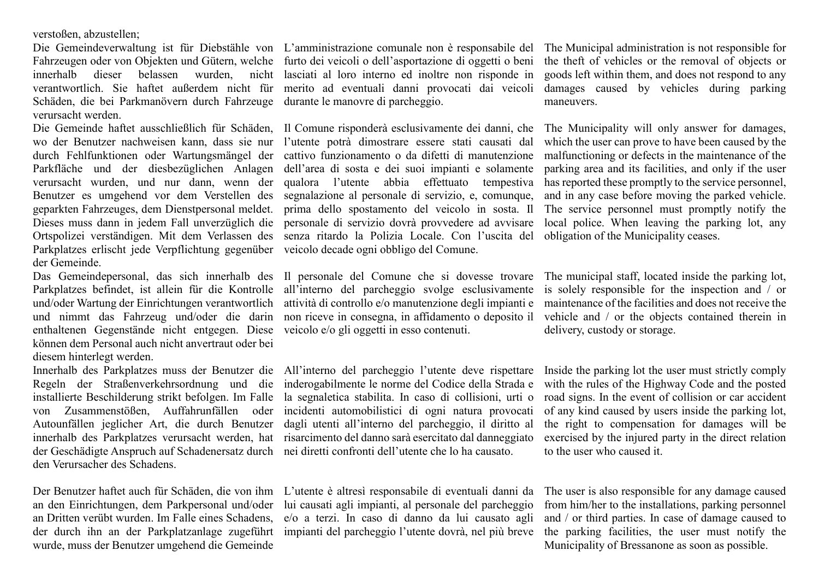verstoßen, abzustellen;

Schäden, die bei Parkmanövern durch Fahrzeuge durante le manovre di parcheggio. verursacht werden.

Parkplatzes erlischt jede Verpflichtung gegenüber veicolo decade ogni obbligo del Comune. der Gemeinde.

enthaltenen Gegenstände nicht entgegen. Diese veicolo e/o gli oggetti in esso contenuti. können dem Personal auch nicht anvertraut oder bei diesem hinterlegt werden.

installierte Beschilderung strikt befolgen. Im Falle der Geschädigte Anspruch auf Schadenersatz durch nei diretti confronti dell'utente che lo ha causato. den Verursacher des Schadens.

an den Einrichtungen, dem Parkpersonal und/oder an Dritten verübt wurden. Im Falle eines Schadens, der durch ihn an der Parkplatzanlage zugeführt wurde, muss der Benutzer umgehend die Gemeinde

Die Gemeindeverwaltung ist für Diebstähle von L'amministrazione comunale non è responsabile del The Municipal administration is not responsible for Fahrzeugen oder von Objekten und Gütern, welche furto dei veicoli o dell'asportazione di oggetti o beni innerhalb dieser belassen wurden, nicht lasciati al loro interno ed inoltre non risponde in verantwortlich. Sie haftet außerdem nicht für merito ad eventuali danni provocati dai veicoli

wo der Benutzer nachweisen kann, dass sie nur l'utente potrà dimostrare essere stati causati dal durch Fehlfunktionen oder Wartungsmängel der cattivo funzionamento o da difetti di manutenzione Parkfläche und der diesbezüglichen Anlagen dell'area di sosta e dei suoi impianti e solamente verursacht wurden, und nur dann, wenn der qualora l'utente abbia effettuato tempestiva Benutzer es umgehend vor dem Verstellen des segnalazione al personale di servizio, e, comunque, geparkten Fahrzeuges, dem Dienstpersonal meldet. prima dello spostamento del veicolo in sosta. Il Dieses muss dann in jedem Fall unverzüglich die personale di servizio dovrà provvedere ad avvisare Ortspolizei verständigen. Mit dem Verlassen des senza ritardo la Polizia Locale. Con l'uscita del

Das Gemeindepersonal, das sich innerhalb des Il personale del Comune che si dovesse trovare Parkplatzes befindet, ist allein für die Kontrolle all'interno del parcheggio svolge esclusivamente und/oder Wartung der Einrichtungen verantwortlich attività di controllo e/o manutenzione degli impianti e und nimmt das Fahrzeug und/oder die darin non-riceve-in-consegna, in-affidamento o-deposito-il vehicle and / or the objects contained therein in

Innerhalb des Parkplatzes muss der Benutzer die All'interno del parcheggio l'utente deve rispettare Regeln der Straßenverkehrsordnung und die inderogabilmente le norme del Codice della Strada e von Zusammenstößen, Auffahrunfällen oder incidenti automobilistici di ogni natura provocati Autounfällen jeglicher Art, die durch Benutzer dagli utenti all'interno del parcheggio, il diritto al innerhalb des Parkplatzes verursacht werden, hat risarcimento del danno sarà esercitato dal danneggiato la segnaletica stabilita. In caso di collisioni, urti o

Der Benutzer haftet auch für Schäden, die von ihm L'utente è altresì responsabile di eventuali danni da lui causati agli impianti, al personale del parcheggio e/o a terzi. In caso di danno da lui causato agli impianti del parcheggio l'utente dovrà, nel più breve

the theft of vehicles or the removal of objects or goods left within them, and does not respond to any damages caused by vehicles during parking maneuvers.

Die Gemeinde haftet ausschließlich für Schäden, Il Comune risponderà esclusivamente dei danni, che The Municipality will only answer for damages, which the user can prove to have been caused by the malfunctioning or defects in the maintenance of the parking area and its facilities, and only if the user has reported these promptly to the service personnel, and in any case before moving the parked vehicle. The service personnel must promptly notify the local police. When leaving the parking lot, any obligation of the Municipality ceases.

> The municipal staff, located inside the parking lot, is solely responsible for the inspection and / or maintenance of the facilities and does not receive the delivery, custody or storage.

> Inside the parking lot the user must strictly comply with the rules of the Highway Code and the posted road signs. In the event of collision or car accident of any kind caused by users inside the parking lot, the right to compensation for damages will be exercised by the injured party in the direct relation to the user who caused it.

> The user is also responsible for any damage caused from him/her to the installations, parking personnel and / or third parties. In case of damage caused to the parking facilities, the user must notify the Municipality of Bressanone as soon as possible.